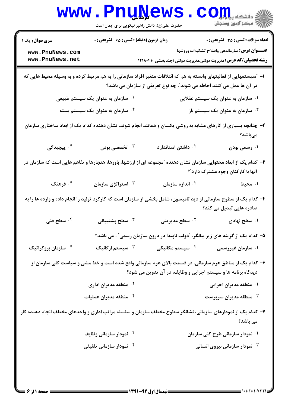|                                                                                                                                                                                              | www.PnuNews<br>حضرت علی(ع): دانش راهبر نیکویی برای ایمان است                                                      |                                                                                  | الله دانشکاه پیام در استفاده<br>الله عرکز آنههن وسنجش                                         |
|----------------------------------------------------------------------------------------------------------------------------------------------------------------------------------------------|-------------------------------------------------------------------------------------------------------------------|----------------------------------------------------------------------------------|-----------------------------------------------------------------------------------------------|
| <b>سری سوال :</b> یک ۱<br>www.PnuNews.com<br>www.PnuNews.net                                                                                                                                 | <b>زمان آزمون (دقیقه) : تستی : 65 ٪ تشریحی : 0</b>                                                                | <b>رشته تحصیلی/کد درس:</b> مدیریت دولتی،مدیریت دولتی (چندبخشی )۱۲۱۸۰۴۱           | <b>تعداد سوالات : تستي : 35 - تشريحي : 0</b><br>عنـــوان درس: سازماندهی واصلاح تشکیلات وروشها |
| ا– ″سیستمهایی از فعالیتهای وابسته به هم که ائتلافات متغیر افراد سازمانی را به هم مرتبط کرده و به وسیله محیط هایی که<br>در آن ها عمل می کنند احاطه می شوند″، چه نوع تعریفی از سازمان می باشد؟ |                                                                                                                   |                                                                                  |                                                                                               |
|                                                                                                                                                                                              | <sup>۲ .</sup> سازمان به عنوان یک سیستم طبیعی                                                                     |                                                                                  | ۰۱ سازمان به عنوان یک سیستم عقلایی                                                            |
|                                                                                                                                                                                              | سازمان به عنوان یک سیستم بسته $\cdot^*$                                                                           |                                                                                  | سازمان به عنوان یک سیستم باز $\cdot$                                                          |
| ۲- چنانچه بسیاری از کارهای مشابه به روشی یکسان و همانند انجام شوند، نشان دهنده کدام یک از ابعاد ساختاری سازمان<br>مىباشد؟                                                                    |                                                                                                                   |                                                                                  |                                                                                               |
| <sup>۴.</sup> پیچیدگی                                                                                                                                                                        | ۰۳ تخصصی بودن                                                                                                     | ۰ <sup>۲</sup> داشتن استاندار د                                                  | ۰۱ رسمی بودن                                                                                  |
| ۳– کدام یک از ابعاد محتوایی سازمان نشان دهنده "مجموعه ای از ارزشها، باورها، هنجارها و تفاهم هایی است که سازمان در<br>آنها با کارکنان وجوه مشترک دارد ؒ؟                                      |                                                                                                                   |                                                                                  |                                                                                               |
| ۰۴ فرهنگ                                                                                                                                                                                     | ۰۳ استراتژی سازمان                                                                                                | ۰ <sup>۲</sup> اندازه سازمان                                                     | ۰۱ محیط                                                                                       |
|                                                                                                                                                                                              | ۴– کدام یک از سطوح سازمانی از دید تامپسون، شامل بخشی از سازمان است که کارکرد تولید را انجام داده و وارده ها را به |                                                                                  | صادرہ ھایی تبدیل می کند؟                                                                      |
| ۰۴ سطح فنی                                                                                                                                                                                   | سطح پشتیبانی $\cdot$                                                                                              | ۲. سطح مدیریتی                                                                   | ۰۱ سطح نهادی                                                                                  |
|                                                                                                                                                                                              |                                                                                                                   | ۵– کدام یک از گزینه های زیر بیانگر، "دولت ناپیدا در درون سازمان رسمی" ، می باشد؟ |                                                                                               |
| ۰ <sup>۴</sup> سازمان بروکراتیک                                                                                                                                                              | ۰ <sup>۳</sup> سیستم ارگانیک                                                                                      | ۰ <sup>۲</sup> سیستم مکانیکی                                                     | ۰۱ سازمان غیررسمی                                                                             |
|                                                                                                                                                                                              | ۶– کدام یک از مناطق هرم سازمانی، در قسمت بالای هرم سازمانی واقع شده است و خط مشی و سیاست کلی سازمان از            | دیدگاه برنامه ها و سیستم اجرایی و وظایف، در آن تدوین می شود؟                     |                                                                                               |
|                                                                                                                                                                                              | ۰ <sup>۲</sup> منطقه مدیران اداری                                                                                 |                                                                                  | ۰۱ منطقه مدیران اجرایی                                                                        |
|                                                                                                                                                                                              | ۰۴ منطقه مدیران عملیات                                                                                            |                                                                                  | ۰۳ منطقه مدیران سرپرست $\cdot$                                                                |
| ۷– کدام یک از نمودارهای سازمانی، نشانگر سطوح مختلف سازمان و سلسله مراتب اداری و واحدهای مختلف انجام دهنده کار                                                                                |                                                                                                                   |                                                                                  | می باشد؟                                                                                      |
|                                                                                                                                                                                              | <sup>7</sup> . نمودار سازمانی وظایف                                                                               |                                                                                  | ۰۱ نمودار سازمانی طرح کلی سازمان                                                              |
|                                                                                                                                                                                              | ۰ <sup>۴</sup> نمودار سازمانی تلفیقی                                                                              |                                                                                  | نمودار سازمانی نیروی انسانی $\cdot^{\textsf{w}}$                                              |
|                                                                                                                                                                                              |                                                                                                                   |                                                                                  |                                                                                               |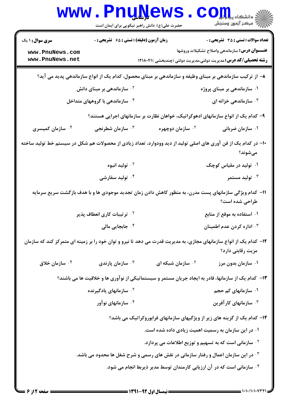| <b>WWW</b>                                                                                                                                     | <b>FUUNEWS</b><br>حضرت علی(ع): دانش راهبر نیکویی برای ایمان است                                                    |                                                                                                                                                                                                                                                                                                        | د دانشڪاه پ <b>ياج</b> ا<br>رِ آھرڪز آزمون وسنڊش                                                                                                                                |
|------------------------------------------------------------------------------------------------------------------------------------------------|--------------------------------------------------------------------------------------------------------------------|--------------------------------------------------------------------------------------------------------------------------------------------------------------------------------------------------------------------------------------------------------------------------------------------------------|---------------------------------------------------------------------------------------------------------------------------------------------------------------------------------|
| <b>سری سوال : ۱ یک</b><br>www.PnuNews.com<br>www.PnuNews.net                                                                                   | <b>زمان آزمون (دقیقه) : تستی : 65 ٪ تشریحی : 0</b>                                                                 |                                                                                                                                                                                                                                                                                                        | <b>تعداد سوالات : تستي : 35 ٪ تشريحي : 0</b><br><b>عنـــوان درس:</b> سازماندهی واصلاح تشکیلات وروشها<br><b>رشته تحصیلی/کد درس:</b> مدیریت دولتی،مدیریت دولتی (چندبخشی )۱۲۱۸۰۴۱  |
|                                                                                                                                                | ۰ <sup>۲</sup> سازماندهی بر مبنای دانش<br><b>۴ و سازماندهی با گروههای متداخل</b>                                   | ۸– از ترکیب سازماندهی بر مبنای وظیفه و سازماندهی بر مبنای محصول، کدام یک از انواع سازماندهی پدید می آید؟<br>۹– کدام یک از انواع سازمانهای ادهوکراتیک، خواهان نظارت بر سازمانهای اجرایی هستند؟                                                                                                          | ۰۱ سازماندهی بر مبنای پروژه<br>۰ <sup>۳</sup> سازماندهی خزانه ای                                                                                                                |
| ۰ <sup>۴</sup> سازمان کمیسری<br>∙۱− در کدام یک از فن آوری های اصلی تولید از دید وودوارد، تعداد زیادی از محصولات هم شکل در سیستم خط تولید ساخته | سازمان شطرنجی $\cdot^{\mathsf{v}}$                                                                                 | ۰ <sup>۲</sup> سازمان دوچهره                                                                                                                                                                                                                                                                           | ۰۱ سازمان ضربانی<br>مىشوند؟                                                                                                                                                     |
|                                                                                                                                                | ۰ <sup>۲</sup> تولید انبوه<br>۰۴ تولید سفارشی                                                                      | 1۱– کدام ویژگی سازمانهای پست مدرن، به منظور کاهش دادن زمان تجدید موجودی ها و با هدف بازگشت سریع سرمایه                                                                                                                                                                                                 | ۰۱ تولید در مقیاس کوچک<br>تولید مستمر $\cdot$                                                                                                                                   |
| ۱۲- کدام یک از انواع سازمانهای مجازی، به مدیریت قدرت می دهد تا نیرو و توان خود را بر زمینه ای متمرکز کند که سازمان                             | ۰ <sup>۲</sup> ترتیبات کاری انعطاف پذیر<br>۰ <sup>۴</sup> جابجایی مالی                                             |                                                                                                                                                                                                                                                                                                        | طراحی شده است؟<br>۰۱ استفاده به موقع از منابع<br>۰ <sup>۳</sup> اداره کردن عدم اطمینان<br>مزیت رقابتی دارد؟                                                                     |
| ۰ <sup>۴</sup> سازمان خلاق                                                                                                                     | سازمان پارندی $\cdot^{\mathsf{\scriptscriptstyle{T}}}$<br>۰ <sup>۲</sup> سازمانهای یادگیرنده<br>۰۴ سازمانهای نوآور | اسازمان شبکه ای $\cdot$ ۲                                                                                                                                                                                                                                                                              | ۰۱ سازمان بدون مرز<br>۱۳– کدام یک از سازمانها، قادر به ایجاد جریان مستمر و سیستماتیکی از نوآوری ها و خلاقیت ها می باشند؟<br>۰۱ سازمانهای کم حجم<br>شازمانهای کارآفرین $\cdot$ " |
|                                                                                                                                                |                                                                                                                    | ۰۱ در این سازمان به رسمیت اهمیت زیادی داده شده است.<br><sup>7 .</sup> سازمانی است که به تسهیم و توزیع اطلاعات می پردازد.<br>۰ <sup>۳ .</sup> در این سازمان اعمال و رفتار سازمانی در نقش های رسمی و شرح شغل ها محدود می باشد.<br>۰۴ سازمانی است که در آن ارزیابی کارمندان توسط مدیر ذیربط انجام می شود. | ۱۴- کدام یک از گزینه های زیر از ویژگیهای سازمانهای فرابوروکراتیک می باشد؟                                                                                                       |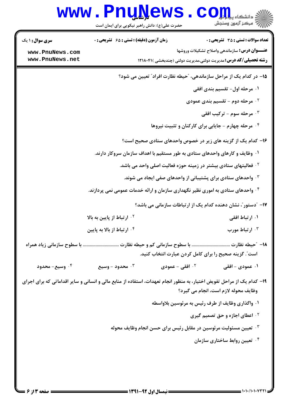|                                                              | <b>Funive</b> m<br>حضرت علی(ع): دانش راهبر نیکویی برای ایمان است | د دانشڪاه پ <b>يام</b><br>7' مرڪز آزمون وسنڊش                                                                                                                                                                                                                                                                                                                                                                                                                                                                                                                                                                              |
|--------------------------------------------------------------|------------------------------------------------------------------|----------------------------------------------------------------------------------------------------------------------------------------------------------------------------------------------------------------------------------------------------------------------------------------------------------------------------------------------------------------------------------------------------------------------------------------------------------------------------------------------------------------------------------------------------------------------------------------------------------------------------|
| <b>سری سوال : ۱ یک</b><br>www.PnuNews.com<br>www.PnuNews.net | <b>زمان آزمون (دقیقه) : تستی : 65 ٪ تشریحی : 0</b>               | <b>تعداد سوالات : تستي : 35 - تشريحي : 0</b><br><b>عنـــوان درس:</b> سازماندهی واصلاح تشکیلات وروشها<br><b>رشته تحصیلی/کد درس:</b> مدیریت دولتی،مدیریت دولتی (چندبخشی )1۲۱۸۰۴۱                                                                                                                                                                                                                                                                                                                                                                                                                                             |
|                                                              |                                                                  | ۱۵– در کدام یک از مراحل سازماندهی، "حیطه نظارت افراد" تعیین می شود؟<br>۰۱ مرحله اول- تقسیم بندی افقی<br>۰ <sup>۲</sup> مرحله دوم – تقسیم بندی عمودی<br>۰۳ مرحله سوم - ترکیب افقی<br>۰۴ مرحله چهارم - جایابی برای کارکنان و تثبیت نیروها *<br>۱۶– کدام یک از گزینه های زیر در خصوص واحدهای ستادی صحیح است؟<br>۰۱ وظایف و کارهای واحدهای ستادی به طور مستقیم با اهداف سازمان سروکار دارند.<br><sup>۲</sup> ۰ فعالیتهای ستادی بیشتر در زمینه حوزه فعالیت اصلی واحد می باشد.<br>۰۳ واحدهای ستادی برای پشتیبانی از واحدهای صفی ایجاد می شوند.<br>۰۴ واحدهای ستادی به اموری نظیر نگهداری سازمان و ارائه خدمات عمومی نمی پردازند. |
|                                                              | ۰۲ ارتباط از پایین به بالا<br>۰۴ ارتباط از بالا به پایین         | ۱۷– "دستور"، نشان دهنده کدام یک از ارتباطات سازمانی می باشد؟<br>۰۱ ارتباط افقی<br>۰ <sup>۲</sup> ارتباط مورب<br>۱۸− ″حیطه نظارت  با سطوح سازمانی کم و حیطه نظارت  با سطوح سازمانی زیاد همراه                                                                                                                                                                                                                                                                                                                                                                                                                               |
| ۰۴ وسیع- محدود                                               | ۰۳ محدود - وسیع                                                  | است″. گزینه صحیح را برای کامل کردن عبارت انتخاب کنید.<br>ا افقی - عمودی $^\mathrm{Y}$ افقی $^\mathrm{Y}$<br>۰۱ عمودی - افقی<br>۱۹- کدام یک از مراحل تفویض اختیار، به منظور انجام تعهدات، استفاده از منابع مالی و انسانی و سایر اقداماتی که برای اجرای<br>وظایف محوله لازم است، انجام می گیرد؟<br>۰۱ واگذاری وظایف از طرف رئیس به مرئوسین بلاواسطه<br><b>10 اعطای اجازه و حق تصمیم گیری</b><br>$^\circ$ تعیین مسئولیت مرئوسین در مقابل رئیس برای حسن انجام وظایف محوله $^\circ$<br>۰۴ تعیین روابط ساختاری سازمان                                                                                                            |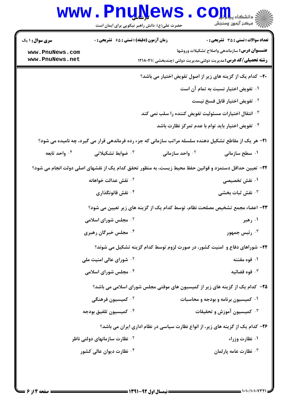|                                    |                                           | www.PnuNews.<br>حضرت علی(ع): دانش راهبر نیکویی برای ایمان است | $\left\  \bigoplus_{i=1}^n \bigoplus_{j=1}^n \mathbb{Z}^j \right\ _{L^2(\mathbb{R}^N)} \leq \left\  \bigoplus_{i=1}^n \mathbb{Z}^j \right\ _{L^2(\mathbb{R}^N)}$ |
|------------------------------------|-------------------------------------------|---------------------------------------------------------------|------------------------------------------------------------------------------------------------------------------------------------------------------------------|
| <b>سری سوال : ۱ یک</b>             | زمان آزمون (دقیقه) : تستی : ۶۵ گشریحی : 0 |                                                               | <b>تعداد سوالات : تستی : 35 ٪ تشریحی : 0</b>                                                                                                                     |
| www.PnuNews.com<br>www.PnuNews.net |                                           |                                                               | <b>عنـــوان درس:</b> سازماندهی واصلاح تشکیلات وروشها<br><b>رشته تحصیلی/کد درس:</b> مدیریت دولتی،مدیریت دولتی (چندبخشی )۱۲۱۸۰۴۱                                   |
|                                    |                                           |                                                               | ۲۰- کدام یک از گزینه های زیر از اصول تفویض اختیار می باشد؟                                                                                                       |
|                                    |                                           |                                                               | ۰۱ تفویض اختیار نسبت به تمام آن است                                                                                                                              |
|                                    |                                           |                                                               | <sup>٢</sup> · تفويض اختيار قابل فسخ نيست                                                                                                                        |
|                                    |                                           |                                                               | ۰۳ انتقال اختیارات مسئولیت تفویض کننده را سلب نمی کند                                                                                                            |
|                                    |                                           |                                                               | <sup>۰۴</sup> تفویض اختیار باید توام با عدم تمرکز نظارت باشد                                                                                                     |
|                                    |                                           |                                                               | <b>۲۱</b> - هر یک از مقاطع تشکیل دهنده سلسله مراتب سازمانی که جزء رده فرماندهی قرار می گیرد، چه نامیده می شود؟                                                   |
| ۰۴ واحد تابعه                      | ضوابط تشكيلاتي $\cdot^{\mathsf{y}}$       | ۰ <sup>۲</sup> واحد سازمانی                                   | ۰۱ سطح سازمانی                                                                                                                                                   |
|                                    |                                           |                                                               | ۲۲– تعیین حداقل دستمزد و قوانین حفظ محیط زیست، به منظور تحقق کدام یک از نقشهای اصلی دولت انجام می شود؟                                                           |
|                                    | ۰ <sup>۲</sup> نقش عدالت خواهانه          |                                                               | ۰۱ نقش تخصیصی                                                                                                                                                    |
|                                    | ۰ <sup>۴</sup> نقش قانونگذاری             |                                                               | نقش ثبات بخشی $\cdot$                                                                                                                                            |
|                                    |                                           |                                                               | ٢٣- اعضاء مجمع تشخيص مصلحت نظام، توسط كدام يک از گزينه هاي زير تعيين مي شود؟                                                                                     |
|                                    | <b>گ مجلس شورای اسلامی</b> $\cdot$        |                                                               | ۰۱ رهبر                                                                                                                                                          |
|                                    | ۰۴ مجلس خبرگان رهبری                      |                                                               | رئيس جمهور $\cdot^{\mathsf{v}}$                                                                                                                                  |
|                                    |                                           |                                                               | ۲۴- شوراهای دفاع و امنیت کشور، در صورت لزوم توسط کدام گزینه تشکیل می شوند؟                                                                                       |
|                                    | <sup>۲ .</sup> شورای عالی امنیت ملی       |                                                               | ۰۱ قوه مقننه                                                                                                                                                     |
|                                    | ۰۴ مجلس شورای اسلامی                      |                                                               | فوه قضائيه $\cdot$ "                                                                                                                                             |
|                                    |                                           |                                                               | ۲۵– کدام یک از گزینه های زیر از کمیسیون های موقتی مجلس شورای اسلامی می باشد؟                                                                                     |
|                                    | ۰ <sup>۲</sup> کمیسیون فرهنگی             |                                                               | ۰۱ کمیسیون برنامه و بودجه و محاسبات                                                                                                                              |
|                                    | ۰۴ كميسيون تلفيق بودجه                    |                                                               | ۰۳ کمیسیون آموزش و تحقیقات $\cdot$                                                                                                                               |
|                                    |                                           |                                                               | ۲۶– کدام یک از گزینه های زیر، از انواع نظارت سیاسی در نظام اداری ایران می باشد؟                                                                                  |
|                                    | <sup>۲ .</sup> نظارت سازمانهای دولتی ناظر |                                                               | ۰۱ نظارت وزراء                                                                                                                                                   |
|                                    | ۰ <sup>۴</sup> نظارت دیوان عالی کشور      |                                                               | نظارت عامه پارلمان $\cdot^{\mathsf{T}}$                                                                                                                          |
|                                    |                                           |                                                               |                                                                                                                                                                  |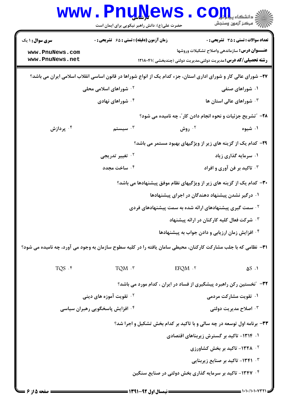|                                                                                                                 | <b>www.PnuNews</b><br>حضرت علی(ع): دانش راهبر نیکویی برای ایمان است                                                     |                                                                     | ان دانشڪاه پيام اور<br>اڳ مرڪز آزمهن وسنڊش                             |  |
|-----------------------------------------------------------------------------------------------------------------|-------------------------------------------------------------------------------------------------------------------------|---------------------------------------------------------------------|------------------------------------------------------------------------|--|
| <b>سری سوال : ۱ یک</b>                                                                                          | زمان آزمون (دقیقه) : تستی : ۶۵ گشریحی : 0                                                                               |                                                                     | <b>تعداد سوالات : تستی : 35 تشریحی : 0</b>                             |  |
| www.PnuNews.com                                                                                                 |                                                                                                                         |                                                                     | <b>عنـــوان درس:</b> سازماندهی واصلاح تشکیلات وروشها                   |  |
| www.PnuNews.net                                                                                                 |                                                                                                                         |                                                                     | <b>رشته تحصیلی/کد درس:</b> مدیریت دولتی،مدیریت دولتی (چندبخشی )۱۲۱۸۰۴۱ |  |
| ۲۷- شورای عالی کار و شورای اداری استان، جزء کدام یک از انواع شوراها در قانون اساسی انقلاب اسلامی ایران می باشد؟ |                                                                                                                         |                                                                     |                                                                        |  |
|                                                                                                                 | ۰۲ شوراهای اسلامی محلی                                                                                                  |                                                                     | ۱. شوراهای صنفی                                                        |  |
|                                                                                                                 | ۰ <sup>۴</sup> شوراهای نهادی                                                                                            |                                                                     | ۰ <sup>۳</sup> شوراهای عالی استان ها                                   |  |
|                                                                                                                 |                                                                                                                         |                                                                     | ۲۸- ″تشریح جزئیات و نحوه انجام دادن کار″، چه نامیده می شود؟            |  |
| ۰۴ پردازش                                                                                                       | سيستم $\cdot$                                                                                                           | ۰۲ روش                                                              | ۰۱ شیوه                                                                |  |
|                                                                                                                 |                                                                                                                         |                                                                     | ۲۹- کدام یک از گزینه های زیر از ویژگیهای بهبود مستمر می باشد؟          |  |
|                                                                                                                 | ۰ <sup>۲</sup> تغییر تدریجی                                                                                             |                                                                     | ۰۱ سرمایه گذاری زیاد                                                   |  |
|                                                                                                                 | ۰۴ ساخت مجدد                                                                                                            |                                                                     | ۰۳ تاکید بر فن آوری و افراد                                            |  |
|                                                                                                                 | ۳۰– کدام یک از گزینه های زیر از ویژگیهای نظام موفق پیشنهادها می باشد؟                                                   |                                                                     |                                                                        |  |
|                                                                                                                 |                                                                                                                         | ۰۱ درگیر نشدن پیشنهاد دهندگان در اجرای پیشنهادها                    |                                                                        |  |
|                                                                                                                 |                                                                                                                         | <sup>۲</sup> ۰ سمت گیری پیشنهادهای ارائه شده به سمت پیشنهادهای فردی |                                                                        |  |
|                                                                                                                 | شرکت فعال کلیه کارکنان در ارائه پیشنهاد $\cdot$                                                                         |                                                                     |                                                                        |  |
|                                                                                                                 |                                                                                                                         | ۰۴ افزایش زمان ارزیابی و دادن جواب به پیشنهادها                     |                                                                        |  |
|                                                                                                                 | <b>۳۱</b> - نظامی که با جلب مشارکت کارکنان، محیطی سامان یافته را در کلیه سطوح سازمان به وجود می آورد، چه نامیده می شود؟ |                                                                     |                                                                        |  |
| $TQS$ . $f$                                                                                                     | TQM . ٣                                                                                                                 | EFQM . ٢                                                            | $\Delta S$ .1                                                          |  |
|                                                                                                                 | ۳۲- ″نخستین رکن راهبرد پیشگیری از فساد در ایران ، کدام مورد می باشد؟                                                    |                                                                     |                                                                        |  |
|                                                                                                                 | <b>گ تقویت آموزه های دینی</b>                                                                                           |                                                                     | <b>۱. تقویت مشارکت مردمی</b>                                           |  |
|                                                                                                                 | ۰۴ افزایش پاسخگویی رهبران سیاسی                                                                                         |                                                                     | ۰۳ اصلاح مدیریت دولتی                                                  |  |
|                                                                                                                 | 33- برنامه اول توسعه در چه سالی و با تاکید بر کدام بخش تشکیل و اجرا شد؟                                                 |                                                                     |                                                                        |  |
|                                                                                                                 |                                                                                                                         | ۰۱ - ۱۳۱۴– تاکید بر گسترش زیربناهای اقتصادی                         |                                                                        |  |
|                                                                                                                 |                                                                                                                         |                                                                     | <b>1۳۲۸ - تاکید بر بخش کشاورزی</b>                                     |  |
|                                                                                                                 |                                                                                                                         |                                                                     | ۰۳ - ۱۳۴۱– تاکید بر صنایع زیربنایی                                     |  |
|                                                                                                                 |                                                                                                                         | ۰۴ ۱۳۴۷- تاکید بر سرمایه گذاری بخش دولتی در صنایع سنگین             |                                                                        |  |
|                                                                                                                 |                                                                                                                         |                                                                     |                                                                        |  |